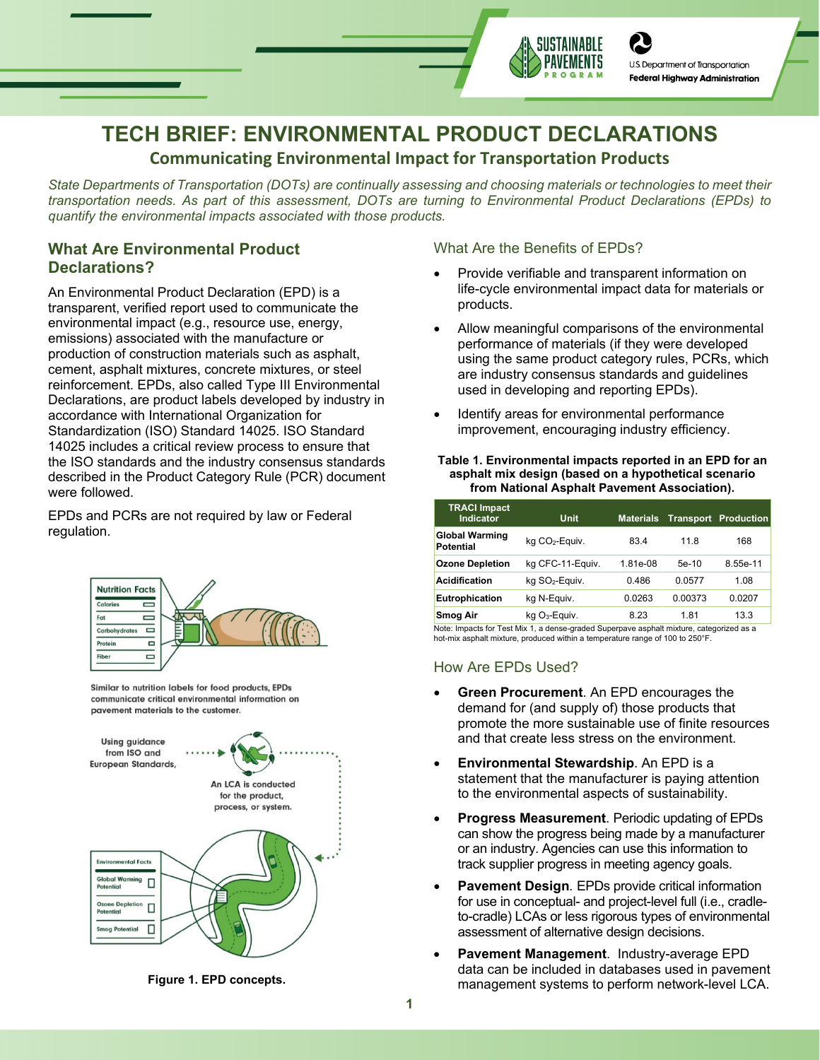

# **TECH BRIEF: ENVIRONMENTAL PRODUCT DECLARATIONS**

# **Communicating Environmental Impact for Transportation Products**

*State Departments of Transportation (DOTs) are continually assessing and choosing materials or technologies to meet their transportation needs. As part of this assessment, DOTs are turning to Environmental Product Declarations (EPDs) to quantify the environmental impacts associated with those products.*

# **What Are Environmental Product Declarations?**

An Environmental Product Declaration (EPD) is a transparent, verified report used to communicate the environmental impact (e.g., resource use, energy, emissions) associated with the manufacture or production of construction materials such as asphalt, cement, asphalt mixtures, concrete mixtures, or steel reinforcement. EPDs, also called Type III Environmental Declarations, are product labels developed by industry in accordance with International Organization for Standardization (ISO) Standard 14025. ISO Standard 14025 includes a critical review process to ensure that the ISO standards and the industry consensus standards described in the Product Category Rule (PCR) document were followed.

EPDs and PCRs are not required by law or Federal regulation.



Similar to nutrition labels for food products, EPDs communicate critical environmental information on pavement materials to the customer.





## What Are the Benefits of EPDs?

- Provide verifiable and transparent information on life-cycle environmental impact data for materials or products.
- Allow meaningful comparisons of the environmental performance of materials (if they were developed using the same product category rules, PCRs, which are industry consensus standards and guidelines used in developing and reporting EPDs).
- Identify areas for environmental performance improvement, encouraging industry efficiency.

#### **Table 1. Environmental impacts reported in an EPD for an asphalt mix design (based on a hypothetical scenario from National Asphalt Pavement Association).**

| <b>TRACI Impact</b><br><b>Indicator</b>   | <b>Unit</b>                 | <b>Materials</b> |         | Transport Production |
|-------------------------------------------|-----------------------------|------------------|---------|----------------------|
| <b>Global Warming</b><br><b>Potential</b> | kg CO <sub>2</sub> -Equiv.  | 83.4             | 11.8    | 168                  |
| <b>Ozone Depletion</b>                    | kg CFC-11-Equiv.            | 1.81e-08         | $5e-10$ | 8.55e-11             |
| <b>Acidification</b>                      | kg SO <sub>2</sub> -Equiv.  | 0.486            | 0.0577  | 1.08                 |
| <b>Eutrophication</b>                     | kg N-Equiv.                 | 0.0263           | 0.00373 | 0.0207               |
| <b>Smog Air</b>                           | $kq$ O <sub>3</sub> -Equiv. | 8.23             | 1.81    | 13.3                 |

Note: Impacts for Test Mix 1, a dense-graded Superpave asphalt mixture, categorized as a hot-mix asphalt mixture, produced within a temperature range of 100 to 250°F.

# How Are EPDs Used?

- **Green Procurement**. An EPD encourages the demand for (and supply of) those products that promote the more sustainable use of finite resources and that create less stress on the environment.
- **Environmental Stewardship**. An EPD is a statement that the manufacturer is paying attention to the environmental aspects of sustainability.
- **Progress Measurement**. Periodic updating of EPDs can show the progress being made by a manufacturer or an industry. Agencies can use this information to track supplier progress in meeting agency goals.
- **Pavement Design***.* EPDs provide critical information for use in conceptual- and project-level full (i.e., cradleto-cradle) LCAs or less rigorous types of environmental assessment of alternative design decisions.
- **Pavement Management**. Industry-average EPD data can be included in databases used in pavement management systems to perform network-level LCA.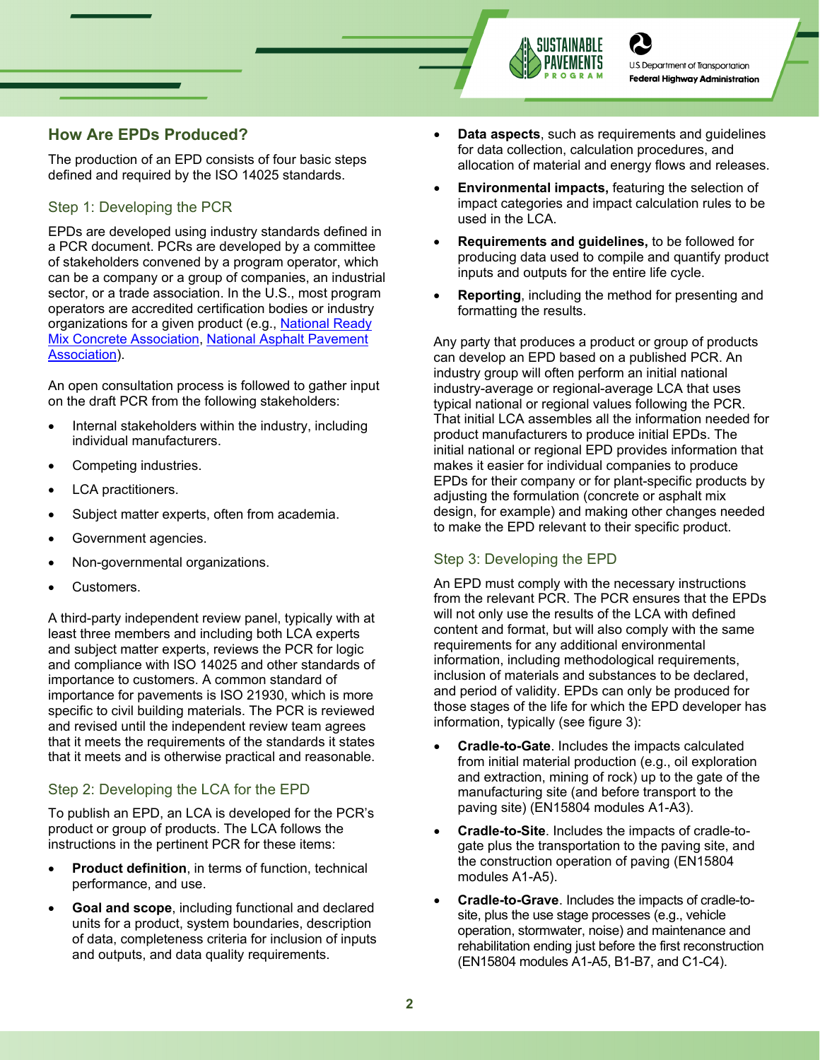

**U.S. Department of Transportation Federal Highway Administration** 

# **How Are EPDs Produced?**

The production of an EPD consists of four basic steps defined and required by the ISO 14025 standards.

## Step 1: Developing the PCR

EPDs are developed using industry standards defined in a PCR document. PCRs are developed by a committee of stakeholders convened by a program operator, which can be a company or a group of companies, an industrial sector, or a trade association. In the U.S., most program operators are accredited certification bodies or industry organizations for a given product (e.g., National Ready [Mix Concrete Association,](https://www.nrmca.org/sustainability/EPDProgram/Index.asp) [National Asphalt Pavement](https://www.asphaltpavement.org/EPD)  [Association\)](https://www.asphaltpavement.org/EPD).

An open consultation process is followed to gather input on the draft PCR from the following stakeholders:

- Internal stakeholders within the industry, including individual manufacturers.
- Competing industries.
- LCA practitioners.
- Subject matter experts, often from academia.
- Government agencies.
- Non-governmental organizations.
- Customers.

A third-party independent review panel, typically with at least three members and including both LCA experts and subject matter experts, reviews the PCR for logic and compliance with ISO 14025 and other standards of importance to customers. A common standard of importance for pavements is ISO 21930, which is more specific to civil building materials. The PCR is reviewed and revised until the independent review team agrees that it meets the requirements of the standards it states that it meets and is otherwise practical and reasonable.

# Step 2: Developing the LCA for the EPD

To publish an EPD, an LCA is developed for the PCR's product or group of products. The LCA follows the instructions in the pertinent PCR for these items:

- **Product definition, in terms of function, technical** performance, and use.
- **Goal and scope**, including functional and declared units for a product, system boundaries, description of data, completeness criteria for inclusion of inputs and outputs, and data quality requirements.
- **Data aspects**, such as requirements and guidelines for data collection, calculation procedures, and allocation of material and energy flows and releases.
- **Environmental impacts,** featuring the selection of impact categories and impact calculation rules to be used in the LCA.
- **Requirements and guidelines,** to be followed for producing data used to compile and quantify product inputs and outputs for the entire life cycle.
- **Reporting**, including the method for presenting and formatting the results.

Any party that produces a product or group of products can develop an EPD based on a published PCR. An industry group will often perform an initial national industry-average or regional-average LCA that uses typical national or regional values following the PCR. That initial LCA assembles all the information needed for product manufacturers to produce initial EPDs. The initial national or regional EPD provides information that makes it easier for individual companies to produce EPDs for their company or for plant-specific products by adjusting the formulation (concrete or asphalt mix design, for example) and making other changes needed to make the EPD relevant to their specific product.

# Step 3: Developing the EPD

An EPD must comply with the necessary instructions from the relevant PCR. The PCR ensures that the EPDs will not only use the results of the LCA with defined content and format, but will also comply with the same requirements for any additional environmental information, including methodological requirements, inclusion of materials and substances to be declared, and period of validity. EPDs can only be produced for those stages of the life for which the EPD developer has information, typically (see figure 3):

- **Cradle-to-Gate**. Includes the impacts calculated from initial material production (e.g., oil exploration and extraction, mining of rock) up to the gate of the manufacturing site (and before transport to the paving site) (EN15804 modules A1-A3).
- **Cradle-to-Site**. Includes the impacts of cradle-togate plus the transportation to the paving site, and the construction operation of paving (EN15804 modules A1-A5).
- **Cradle-to-Grave**. Includes the impacts of cradle-tosite, plus the use stage processes (e.g., vehicle operation, stormwater, noise) and maintenance and rehabilitation ending just before the first reconstruction (EN15804 modules A1-A5, B1-B7, and C1-C4).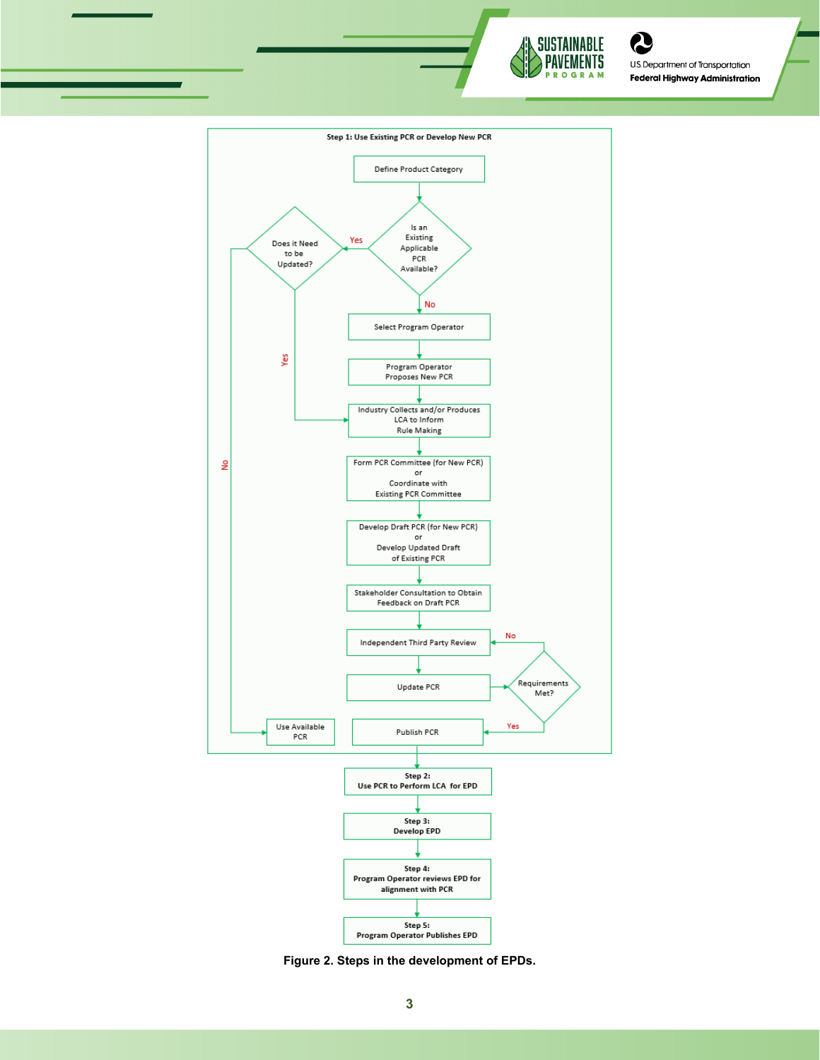

U.S. Department of Transportation **Federal Highway Administration** 

Q



**Figure 2. Steps in the development of EPDs.**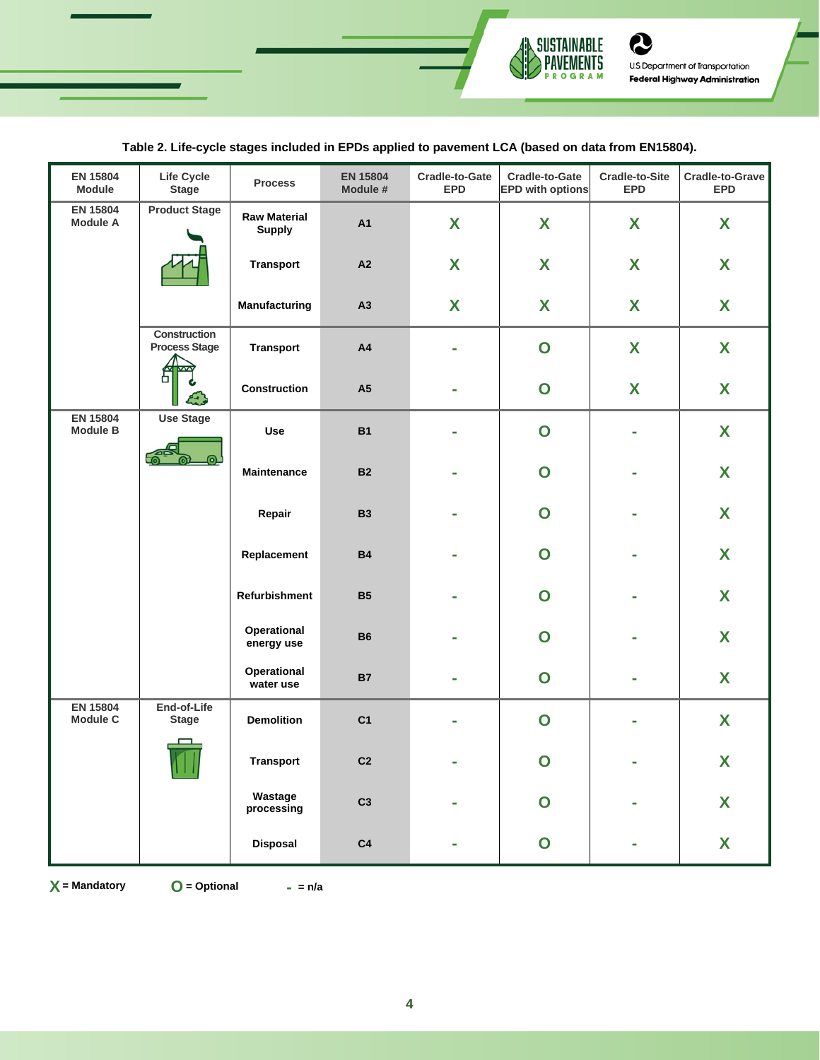

# **Table 2. Life-cycle stages included in EPDs applied to pavement LCA (based on data from EN15804).**

| <b>EN 15804</b><br>Module                                                                          | Life Cycle<br><b>Stage</b>           | <b>Process</b>            | <b>EN 15804</b><br>Module # | Cradle-to-Gate<br><b>EPD</b> | Cradle-to-Gate<br><b>EPD with options</b> | <b>Cradle-to-Site</b><br><b>EPD</b> | Cradle-to-Grave<br><b>EPD</b> |
|----------------------------------------------------------------------------------------------------|--------------------------------------|---------------------------|-----------------------------|------------------------------|-------------------------------------------|-------------------------------------|-------------------------------|
| <b>EN 15804</b><br><b>Product Stage</b><br><b>Module A</b><br>Construction<br><b>Process Stage</b> | <b>Raw Material</b><br><b>Supply</b> | A1                        | X                           | X                            | X                                         | X                                   |                               |
|                                                                                                    |                                      | <b>Transport</b>          | A2                          | X                            | X                                         | X                                   | X                             |
|                                                                                                    |                                      | Manufacturing             | A3                          | X                            | X                                         | X                                   | X                             |
|                                                                                                    |                                      | <b>Transport</b>          | A4                          |                              | $\overline{O}$                            | X                                   | X                             |
|                                                                                                    |                                      | Construction              | A <sub>5</sub>              |                              | $\mathbf O$                               | X                                   | X                             |
| <b>EN 15804</b><br><b>Use Stage</b><br><b>Module B</b>                                             | Use                                  | <b>B1</b>                 |                             | $\mathbf O$                  |                                           | X                                   |                               |
|                                                                                                    |                                      | <b>Maintenance</b>        | <b>B2</b>                   |                              | $\mathbf O$                               |                                     | X                             |
|                                                                                                    |                                      | Repair                    | <b>B3</b>                   |                              | O                                         |                                     | X                             |
|                                                                                                    |                                      | Replacement               | <b>B4</b>                   |                              | $\mathbf O$                               |                                     | X                             |
|                                                                                                    |                                      | Refurbishment             | <b>B5</b>                   |                              | $\mathbf O$                               |                                     | X                             |
|                                                                                                    |                                      | Operational<br>energy use | <b>B6</b>                   |                              | $\mathbf O$                               |                                     | X                             |
|                                                                                                    |                                      | Operational<br>water use  | <b>B7</b>                   |                              | $\mathbf O$                               |                                     | X                             |
| <b>EN 15804</b><br><b>Module C</b>                                                                 | End-of-Life<br><b>Stage</b><br>111   | <b>Demolition</b>         | C <sub>1</sub>              |                              | $\mathbf O$                               |                                     | X                             |
|                                                                                                    |                                      | <b>Transport</b>          | C <sub>2</sub>              |                              | O                                         |                                     | X                             |
|                                                                                                    |                                      | Wastage<br>processing     | C <sub>3</sub>              |                              | $\mathbf O$                               |                                     | $\boldsymbol{X}$              |
|                                                                                                    |                                      | <b>Disposal</b>           | C <sub>4</sub>              |                              | $\mathbf O$                               |                                     | X                             |

**X** = Mandatory

**= Mandatory O = Optional - = n/a**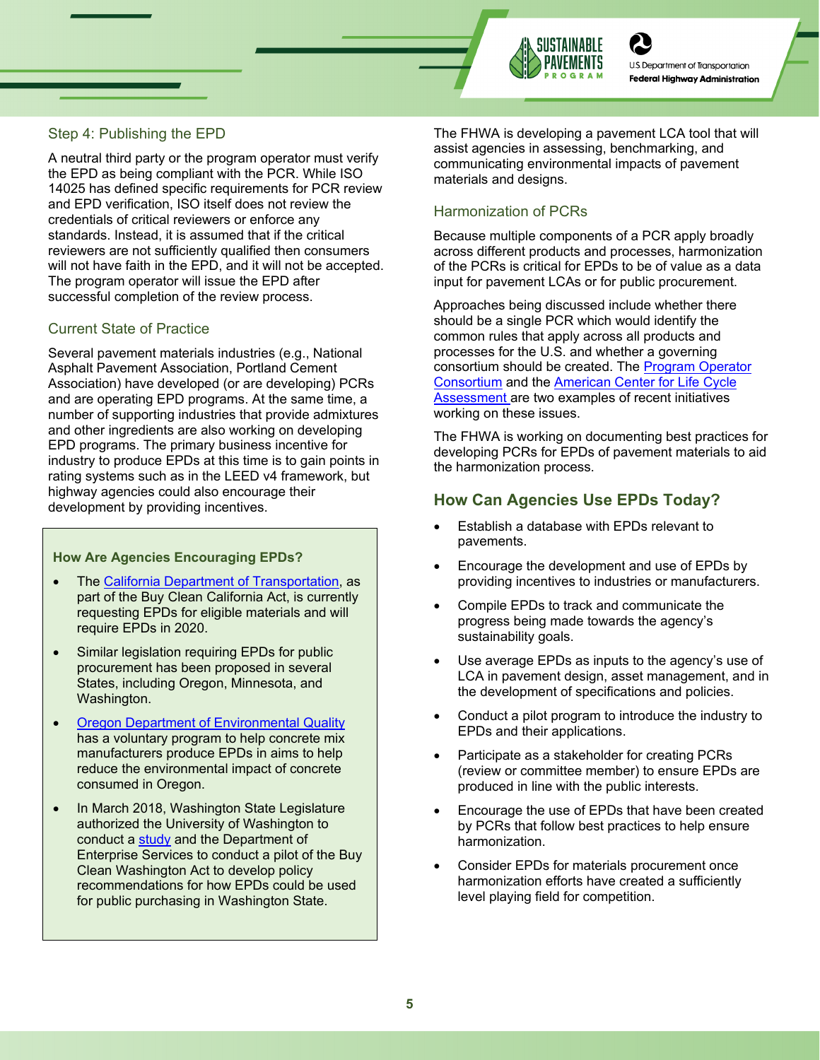

**U.S. Department of Transportation Federal Highway Administration** 

# Step 4: Publishing the EPD

A neutral third party or the program operator must verify the EPD as being compliant with the PCR. While ISO 14025 has defined specific requirements for PCR review and EPD verification, ISO itself does not review the credentials of critical reviewers or enforce any standards. Instead, it is assumed that if the critical reviewers are not sufficiently qualified then consumers will not have faith in the EPD, and it will not be accepted. The program operator will issue the EPD after successful completion of the review process.

#### Current State of Practice

Several pavement materials industries (e.g., National Asphalt Pavement Association, Portland Cement Association) have developed (or are developing) PCRs and are operating EPD programs. At the same time, a number of supporting industries that provide admixtures and other ingredients are also working on developing EPD programs. The primary business incentive for industry to produce EPDs at this time is to gain points in rating systems such as in the LEED v4 framework, but highway agencies could also encourage their development by providing incentives.

#### **How Are Agencies Encouraging EPDs?**

- The [California Department of Transportation,](https://dot.ca.gov/programs/engineering-services/environmental-product-declarations) as part of the Buy Clean California Act, is currently requesting EPDs for eligible materials and will require EPDs in 2020.
- Similar legislation requiring EPDs for public procurement has been proposed in several States, including Oregon, Minnesota, and Washington.
- [Oregon Department of Environmental Quality](https://www.oregon.gov/deq/mm/production/Pages/Concrete.aspx) has a voluntary program to help concrete mix manufacturers produce EPDs in aims to help reduce the environmental impact of concrete consumed in Oregon.
- In March 2018, Washington State Legislature authorized the University of Washington to conduct a [study](http://www.carbonleadershipforum.org/projects/buy-clean-washington/) and the Department of Enterprise Services to conduct a pilot of the Buy Clean Washington Act to develop policy recommendations for how EPDs could be used for public purchasing in Washington State.

The FHWA is developing a pavement LCA tool that will assist agencies in assessing, benchmarking, and communicating environmental impacts of pavement materials and designs.

#### Harmonization of PCRs

Because multiple components of a PCR apply broadly across different products and processes, harmonization of the PCRs is critical for EPDs to be of value as a data input for pavement LCAs or for public procurement.

Approaches being discussed include whether there should be a single PCR which would identify the common rules that apply across all products and processes for the U.S. and whether a governing consortium should be created. The [Program Operator](https://programoperators.org/)  [Consortium](https://programoperators.org/) and the **American Center for Life Cycle [Assessment](https://aclca.org/) are two examples of recent initiatives** working on these issues.

The FHWA is working on documenting best practices for developing PCRs for EPDs of pavement materials to aid the harmonization process.

# **How Can Agencies Use EPDs Today?**

- Establish a database with EPDs relevant to pavements.
- Encourage the development and use of EPDs by providing incentives to industries or manufacturers.
- Compile EPDs to track and communicate the progress being made towards the agency's sustainability goals.
- Use average EPDs as inputs to the agency's use of LCA in pavement design, asset management, and in the development of specifications and policies.
- Conduct a pilot program to introduce the industry to EPDs and their applications.
- Participate as a stakeholder for creating PCRs (review or committee member) to ensure EPDs are produced in line with the public interests.
- Encourage the use of EPDs that have been created by PCRs that follow best practices to help ensure harmonization.
- Consider EPDs for materials procurement once harmonization efforts have created a sufficiently level playing field for competition.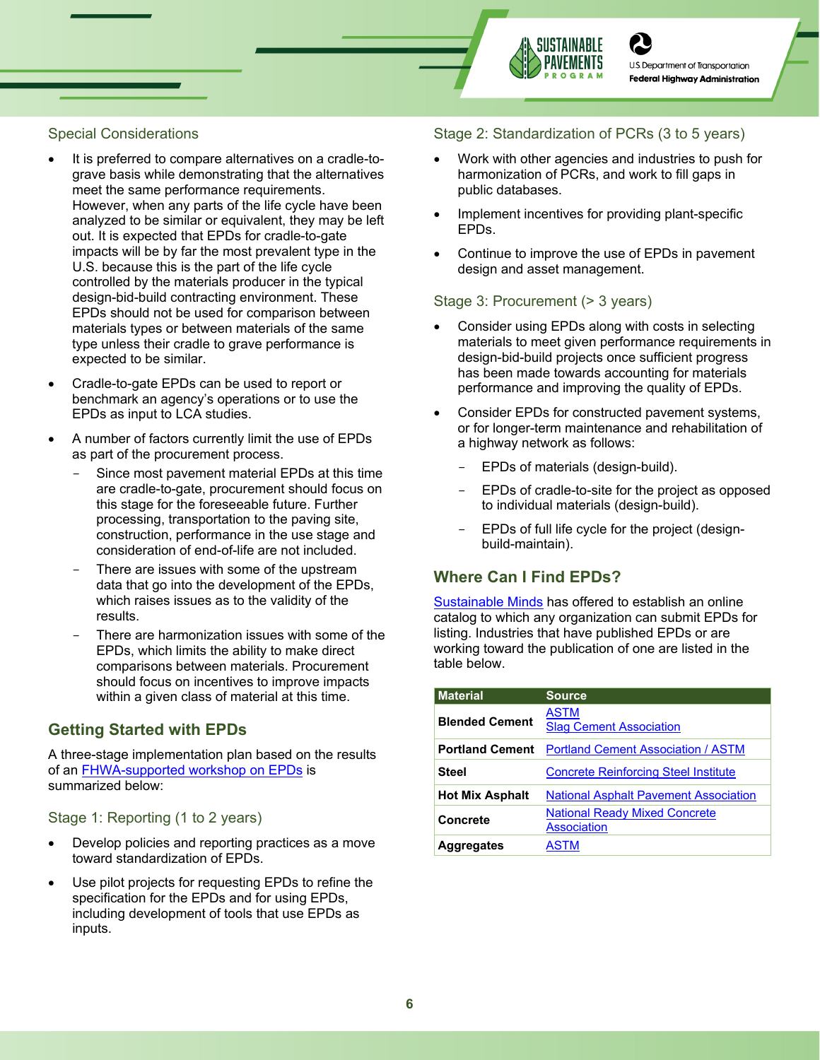



**Federal Highway Administration** 

### Special Considerations

- It is preferred to compare alternatives on a cradle-tograve basis while demonstrating that the alternatives meet the same performance requirements. However, when any parts of the life cycle have been analyzed to be similar or equivalent, they may be left out. It is expected that EPDs for cradle-to-gate impacts will be by far the most prevalent type in the U.S. because this is the part of the life cycle controlled by the materials producer in the typical design-bid-build contracting environment. These EPDs should not be used for comparison between materials types or between materials of the same type unless their cradle to grave performance is expected to be similar.
- Cradle-to-gate EPDs can be used to report or benchmark an agency's operations or to use the EPDs as input to LCA studies.
- A number of factors currently limit the use of EPDs as part of the procurement process.
	- Since most pavement material EPDs at this time are cradle-to-gate, procurement should focus on this stage for the foreseeable future. Further processing, transportation to the paving site, construction, performance in the use stage and consideration of end-of-life are not included.
	- There are issues with some of the upstream data that go into the development of the EPDs, which raises issues as to the validity of the results.
	- There are harmonization issues with some of the EPDs, which limits the ability to make direct comparisons between materials. Procurement should focus on incentives to improve impacts within a given class of material at this time.

# **Getting Started with EPDs**

A three-stage implementation plan based on the results of an [FHWA-supported workshop on EPDs](http://www.ucprc.ucdavis.edu/PDF/FHWA_EPD_Workshop_Report.pdf) is summarized below:

#### Stage 1: Reporting (1 to 2 years)

- Develop policies and reporting practices as a move toward standardization of EPDs.
- Use pilot projects for requesting EPDs to refine the specification for the EPDs and for using EPDs, including development of tools that use EPDs as inputs.

#### Stage 2: Standardization of PCRs (3 to 5 years)

- Work with other agencies and industries to push for harmonization of PCRs, and work to fill gaps in public databases.
- Implement incentives for providing plant-specific EPDs.
- Continue to improve the use of EPDs in pavement design and asset management.

#### Stage 3: Procurement (> 3 years)

- Consider using EPDs along with costs in selecting materials to meet given performance requirements in design-bid-build projects once sufficient progress has been made towards accounting for materials performance and improving the quality of EPDs.
- Consider EPDs for constructed pavement systems, or for longer-term maintenance and rehabilitation of a highway network as follows:
	- EPDs of materials (design-build).
	- EPDs of cradle-to-site for the project as opposed to individual materials (design-build).
	- EPDs of full life cycle for the project (designbuild-maintain).

# **Where Can I Find EPDs?**

[Sustainable Minds](https://www.transparencycatalog.com/) has offered to establish an online catalog to which any organization can submit EPDs for listing. Industries that have published EPDs or are working toward the publication of one are listed in the table below.

| <b>Material</b>        | <b>Source</b>                                              |
|------------------------|------------------------------------------------------------|
| <b>Blended Cement</b>  | ASTM<br><b>Slag Cement Association</b>                     |
| <b>Portland Cement</b> | <b>Portland Cement Association / ASTM</b>                  |
| <b>Steel</b>           | <b>Concrete Reinforcing Steel Institute</b>                |
| <b>Hot Mix Asphalt</b> | <b>National Asphalt Pavement Association</b>               |
| Concrete               | <b>National Ready Mixed Concrete</b><br><b>Association</b> |
| <b>Aggregates</b>      | <b>ASTM</b>                                                |